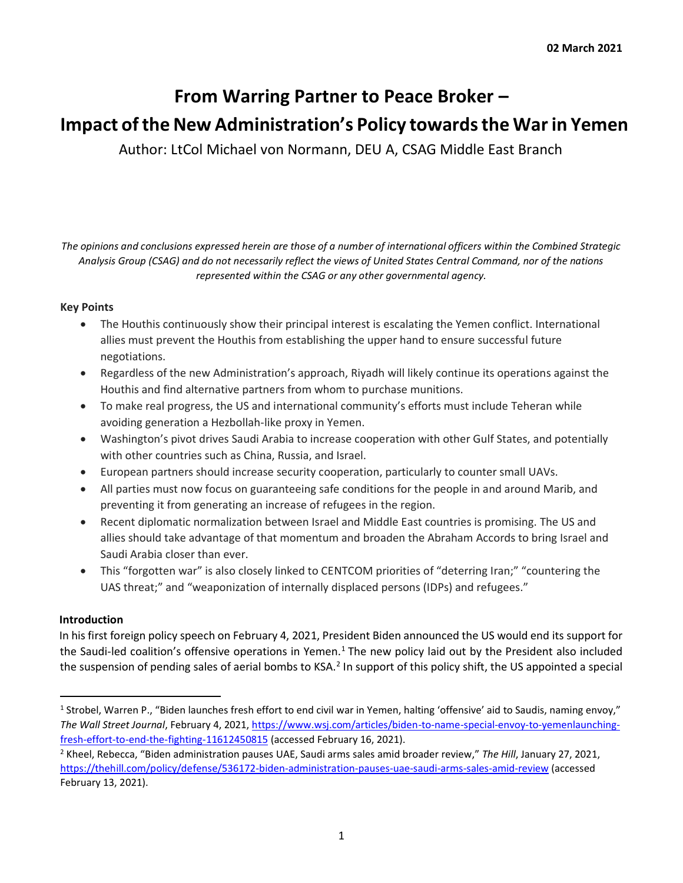# **From Warring Partner to Peace Broker –**

# **Impact of the New Administration's Policy towards the War in Yemen**

Author: LtCol Michael von Normann, DEU A, CSAG Middle East Branch

*The opinions and conclusions expressed herein are those of a number of international officers within the Combined Strategic Analysis Group (CSAG) and do not necessarily reflect the views of United States Central Command, nor of the nations represented within the CSAG or any other governmental agency.*

### **Key Points**

- The Houthis continuously show their principal interest is escalating the Yemen conflict. International allies must prevent the Houthis from establishing the upper hand to ensure successful future negotiations.
- Regardless of the new Administration's approach, Riyadh will likely continue its operations against the Houthis and find alternative partners from whom to purchase munitions.
- To make real progress, the US and international community's efforts must include Teheran while avoiding generation a Hezbollah-like proxy in Yemen.
- Washington's pivot drives Saudi Arabia to increase cooperation with other Gulf States, and potentially with other countries such as China, Russia, and Israel.
- European partners should increase security cooperation, particularly to counter small UAVs.
- All parties must now focus on guaranteeing safe conditions for the people in and around Marib, and preventing it from generating an increase of refugees in the region.
- Recent diplomatic normalization between Israel and Middle East countries is promising. The US and allies should take advantage of that momentum and broaden the Abraham Accords to bring Israel and Saudi Arabia closer than ever.
- This "forgotten war" is also closely linked to CENTCOM priorities of "deterring Iran;" "countering the UAS threat;" and "weaponization of internally displaced persons (IDPs) and refugees."

### **Introduction**

In his first foreign policy speech on February 4, 2021, President Biden announced the US would end its support for the Saudi-led coalition's offensive operations in Yemen. $1$  The new policy laid out by the President also included the suspension of pending sales of aerial bombs to KSA.<sup>2</sup> In support of this policy shift, the US appointed a special

<sup>1</sup> Strobel, Warren P., "Biden launches fresh effort to end civil war in Yemen, halting 'offensive' aid to Saudis, naming envoy," *The Wall Street Journal*, February 4, 2021, [https://www.wsj.com/articles/biden-to-name-special-envoy-to-yemenlaunching](https://www.wsj.com/articles/biden-to-name-special-envoy-to-yemen-launching-fresh-effort-to-end-the-fighting-11612450815)[fresh-effort-to-end-the-fighting-11612450815](https://www.wsj.com/articles/biden-to-name-special-envoy-to-yemen-launching-fresh-effort-to-end-the-fighting-11612450815) (accessed February 16, 2021).

<sup>2</sup> Kheel, Rebecca, "Biden administration pauses UAE, Saudi arms sales amid broader review," *The Hill*, January 27, 2021, <https://thehill.com/policy/defense/536172-biden-administration-pauses-uae-saudi-arms-sales-amid-review> [\(](https://thehill.com/policy/defense/536172-biden-administration-pauses-uae-saudi-arms-sales-amid-review)accessed February 13, 2021).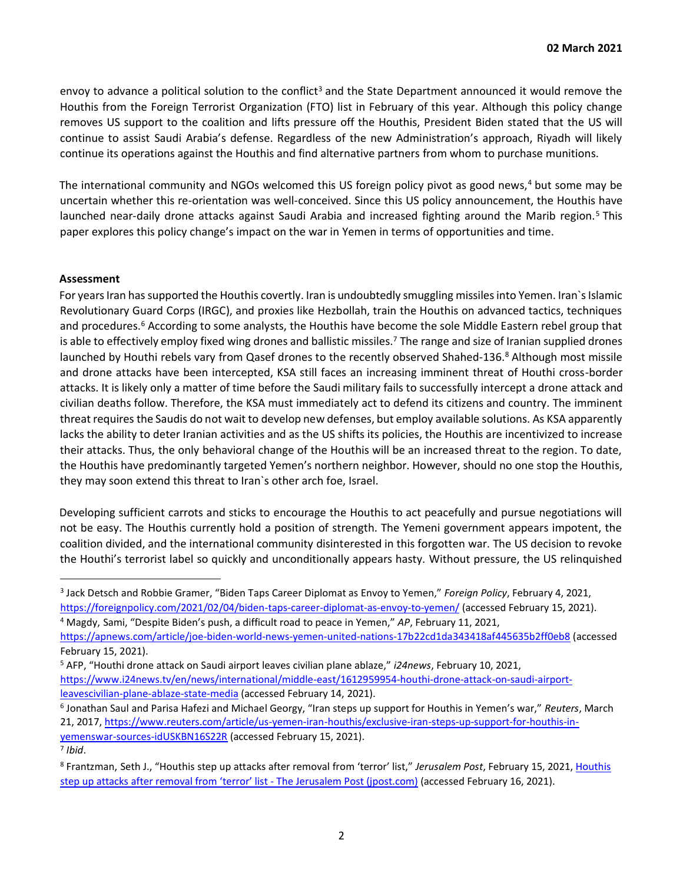envoy to advance a political solution to the conflict<sup>3</sup> and the State Department announced it would remove the Houthis from the Foreign Terrorist Organization (FTO) list in February of this year. Although this policy change removes US support to the coalition and lifts pressure off the Houthis, President Biden stated that the US will continue to assist Saudi Arabia's defense. Regardless of the new Administration's approach, Riyadh will likely continue its operations against the Houthis and find alternative partners from whom to purchase munitions.

The international community and NGOs welcomed this US foreign policy pivot as good news,<sup>4</sup> but some may be uncertain whether this re-orientation was well-conceived. Since this US policy announcement, the Houthis have launched near-daily drone attacks against Saudi Arabia and increased fighting around the Marib region.<sup>5</sup> This paper explores this policy change's impact on the war in Yemen in terms of opportunities and time.

#### **Assessment**

For years Iran has supported the Houthis covertly. Iran is undoubtedly smuggling missiles into Yemen. Iran`s Islamic Revolutionary Guard Corps (IRGC), and proxies like Hezbollah, train the Houthis on advanced tactics, techniques and procedures.<sup>6</sup> According to some analysts, the Houthis have become the sole Middle Eastern rebel group that is able to effectively employ fixed wing drones and ballistic missiles.<sup>7</sup> The range and size of Iranian supplied drones launched by Houthi rebels vary from Qasef drones to the recently observed Shahed-136.<sup>8</sup> Although most missile and drone attacks have been intercepted, KSA still faces an increasing imminent threat of Houthi cross-border attacks. It is likely only a matter of time before the Saudi military fails to successfully intercept a drone attack and civilian deaths follow. Therefore, the KSA must immediately act to defend its citizens and country. The imminent threat requires the Saudis do not wait to develop new defenses, but employ available solutions. As KSA apparently lacks the ability to deter Iranian activities and as the US shifts its policies, the Houthis are incentivized to increase their attacks. Thus, the only behavioral change of the Houthis will be an increased threat to the region. To date, the Houthis have predominantly targeted Yemen's northern neighbor. However, should no one stop the Houthis, they may soon extend this threat to Iran`s other arch foe, Israel.

Developing sufficient carrots and sticks to encourage the Houthis to act peacefully and pursue negotiations will not be easy. The Houthis currently hold a position of strength. The Yemeni government appears impotent, the coalition divided, and the international community disinterested in this forgotten war. The US decision to revoke the Houthi's terrorist label so quickly and unconditionally appears hasty. Without pressure, the US relinquished

<sup>4</sup> Magdy, Sami, "Despite Biden's push, a difficult road to peace in Yemen," *AP*, February 11, 2021, <https://apnews.com/article/joe-biden-world-news-yemen-united-nations-17b22cd1da343418af445635b2ff0eb8> (accessed February 15, 2021).

6 Jonathan Saul and Parisa Hafezi and Michael Georgy, "Iran steps up support for Houthis in Yemen's war," *Reuters*, March 21, 2017, [https://www.reuters.com/article/us-yemen-iran-houthis/exclusive-iran-steps-up-support-for-houthis-in](https://www.reuters.com/article/us-yemen-iran-houthis/exclusive-iran-steps-up-support-for-houthis-in-yemens-war-sources-idUSKBN16S22R)[yemenswar-sources-idUSKBN16S22R](https://www.reuters.com/article/us-yemen-iran-houthis/exclusive-iran-steps-up-support-for-houthis-in-yemens-war-sources-idUSKBN16S22R) [\(](https://www.reuters.com/article/us-yemen-iran-houthis/exclusive-iran-steps-up-support-for-houthis-in-yemens-war-sources-idUSKBN16S22R)accessed February 15, 2021).

<sup>3</sup> Jack Detsch and Robbie Gramer, "Biden Taps Career Diplomat as Envoy to Yemen," *Foreign Policy*, February 4, 2021, <https://foreignpolicy.com/2021/02/04/biden-taps-career-diplomat-as-envoy-to-yemen/> [\(](https://foreignpolicy.com/2021/02/04/biden-taps-career-diplomat-as-envoy-to-yemen/)accessed February 15, 2021).

<sup>5</sup> AFP, "Houthi drone attack on Saudi airport leaves civilian plane ablaze," *i24news*, February 10, 2021, [https://www.i24news.tv/en/news/international/middle-east/1612959954-houthi-drone-attack-on-saudi-airport](https://www.i24news.tv/en/news/international/middle-east/1612959954-houthi-drone-attack-on-saudi-airport-leaves-civilian-plane-ablaze-state-media)[leavescivilian-plane-ablaze-state-media](https://www.i24news.tv/en/news/international/middle-east/1612959954-houthi-drone-attack-on-saudi-airport-leaves-civilian-plane-ablaze-state-media) [\(](https://www.i24news.tv/en/news/international/middle-east/1612959954-houthi-drone-attack-on-saudi-airport-leaves-civilian-plane-ablaze-state-media)accessed February 14, 2021).

<sup>7</sup> *Ibid*.

<sup>8</sup> Frantzman, Seth J., "Houthis step up attacks after removal from 'terror' list," *Jerusalem Post*, February 15, 2021, [Houthis](https://www.jpost.com/middle-east/houthis-step-up-attacks-after-new-terrorist-designation-659019)  [step up attacks after removal from 'terror' list](https://www.jpost.com/middle-east/houthis-step-up-attacks-after-new-terrorist-designation-659019) - The Jerusalem Post (jpost.com) [\(a](https://www.jpost.com/middle-east/houthis-step-up-attacks-after-new-terrorist-designation-659019)ccessed February 16, 2021).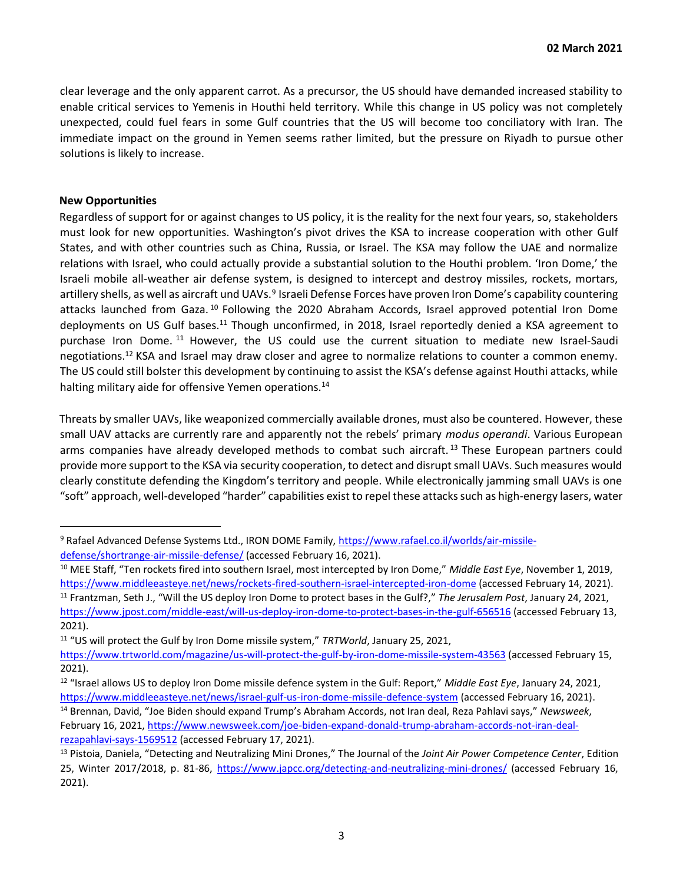clear leverage and the only apparent carrot. As a precursor, the US should have demanded increased stability to enable critical services to Yemenis in Houthi held territory. While this change in US policy was not completely unexpected, could fuel fears in some Gulf countries that the US will become too conciliatory with Iran. The immediate impact on the ground in Yemen seems rather limited, but the pressure on Riyadh to pursue other solutions is likely to increase.

#### **New Opportunities**

Regardless of support for or against changes to US policy, it is the reality for the next four years, so, stakeholders must look for new opportunities. Washington's pivot drives the KSA to increase cooperation with other Gulf States, and with other countries such as China, Russia, or Israel. The KSA may follow the UAE and normalize relations with Israel, who could actually provide a substantial solution to the Houthi problem. 'Iron Dome,' the Israeli mobile all-weather air defense system, is designed to intercept and destroy missiles, rockets, mortars, artillery shells, as well as aircraft und UAVs.<sup>9</sup> Israeli Defense Forces have proven Iron Dome's capability countering attacks launched from Gaza. <sup>10</sup> Following the 2020 Abraham Accords, Israel approved potential Iron Dome deployments on US Gulf bases.<sup>11</sup> Though unconfirmed, in 2018, Israel reportedly denied a KSA agreement to purchase Iron Dome. <sup>11</sup> However, the US could use the current situation to mediate new Israel-Saudi negotiations.<sup>12</sup> KSA and Israel may draw closer and agree to normalize relations to counter a common enemy. The US could still bolster this development by continuing to assist the KSA's defense against Houthi attacks, while halting military aide for offensive Yemen operations.<sup>14</sup>

Threats by smaller UAVs, like weaponized commercially available drones, must also be countered. However, these small UAV attacks are currently rare and apparently not the rebels' primary *modus operandi*. Various European arms companies have already developed methods to combat such aircraft.<sup>13</sup> These European partners could provide more support to the KSA via security cooperation, to detect and disrupt small UAVs. Such measures would clearly constitute defending the Kingdom's territory and people. While electronically jamming small UAVs is one "soft" approach, well-developed "harder" capabilities exist to repel these attacks such as high-energy lasers, water

<sup>11</sup> "US will protect the Gulf by Iron Dome missile system," *TRTWorld*, January 25, 2021,

<sup>9</sup> Rafael Advanced Defense Systems Ltd., IRON DOME Family[, https://www.rafael.co.il/worlds/air-missile](https://www.rafael.co.il/worlds/air-missile-defense/short-range-air-missile-defense/)[defense/shortrange-air-missile-defense/](https://www.rafael.co.il/worlds/air-missile-defense/short-range-air-missile-defense/) [\(a](https://www.rafael.co.il/worlds/air-missile-defense/short-range-air-missile-defense/)ccessed February 16, 2021).

<sup>10</sup> MEE Staff, "Ten rockets fired into southern Israel, most intercepted by Iron Dome," *Middle East Eye*, November 1, 2019, <https://www.middleeasteye.net/news/rockets-fired-southern-israel-intercepted-iron-dome> [\(a](https://www.middleeasteye.net/news/rockets-fired-southern-israel-intercepted-iron-dome)ccessed February 14, 2021).

<sup>11</sup> Frantzman, Seth J., "Will the US deploy Iron Dome to protect bases in the Gulf?," *The Jerusalem Post*, January 24, 2021, <https://www.jpost.com/middle-east/will-us-deploy-iron-dome-to-protect-bases-in-the-gulf-656516> [\(a](https://www.jpost.com/middle-east/will-us-deploy-iron-dome-to-protect-bases-in-the-gulf-656516)ccessed February 13, 2021).

<https://www.trtworld.com/magazine/us-will-protect-the-gulf-by-iron-dome-missile-system-43563> (accessed February 15, 2021).

<sup>12</sup> "Israel allows US to deploy Iron Dome missile defence system in the Gulf: Report," *Middle East Eye*, January 24, 2021, <https://www.middleeasteye.net/news/israel-gulf-us-iron-dome-missile-defence-system> [\(a](https://www.middleeasteye.net/news/israel-gulf-us-iron-dome-missile-defence-system)ccessed February 16, 2021).

<sup>14</sup> Brennan, David, "Joe Biden should expand Trump's Abraham Accords, not Iran deal, Reza Pahlavi says," *Newsweek*, February 16, 2021[, https://www.newsweek.com/joe-biden-expand-donald-trump-abraham-accords-not-iran-deal](https://www.newsweek.com/joe-biden-expand-donald-trump-abraham-accords-not-iran-deal-reza-pahlavi-says-1569512)[rezapahlavi-says-1569512](https://www.newsweek.com/joe-biden-expand-donald-trump-abraham-accords-not-iran-deal-reza-pahlavi-says-1569512) [\(a](https://www.newsweek.com/joe-biden-expand-donald-trump-abraham-accords-not-iran-deal-reza-pahlavi-says-1569512)ccessed February 17, 2021).

<sup>13</sup> Pistoia, Daniela, "Detecting and Neutralizing Mini Drones," The Journal of the *Joint Air Power Competence Center*, Edition 25, Winter 2017/2018, p. 81-86,<https://www.japcc.org/detecting-and-neutralizing-mini-drones/> [\(a](https://www.japcc.org/detecting-and-neutralizing-mini-drones/)ccessed February 16, 2021).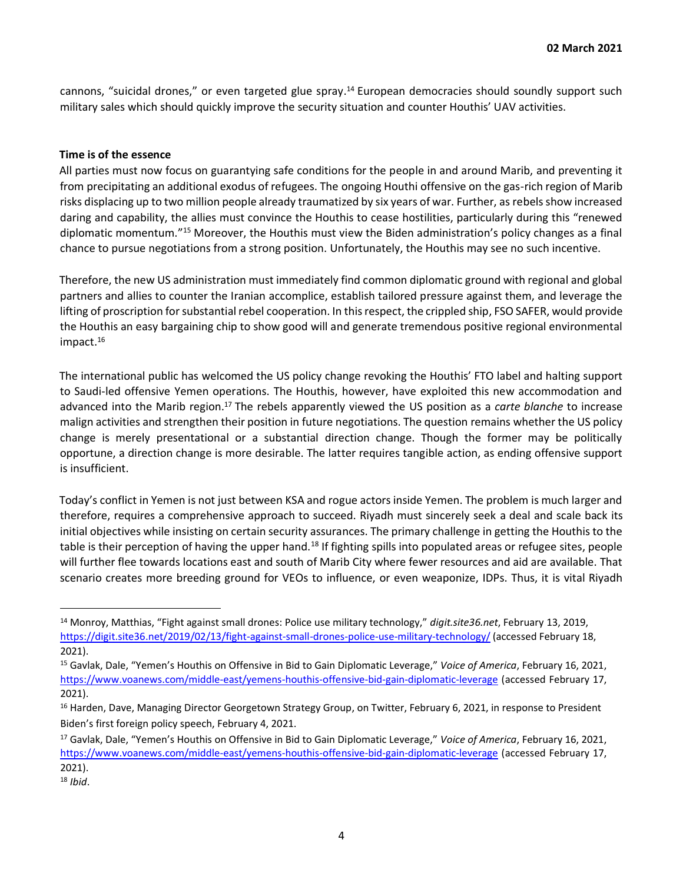cannons, "suicidal drones," or even targeted glue spray.<sup>14</sup> European democracies should soundly support such military sales which should quickly improve the security situation and counter Houthis' UAV activities.

#### **Time is of the essence**

All parties must now focus on guarantying safe conditions for the people in and around Marib, and preventing it from precipitating an additional exodus of refugees. The ongoing Houthi offensive on the gas-rich region of Marib risks displacing up to two million people already traumatized by six years of war. Further, as rebels show increased daring and capability, the allies must convince the Houthis to cease hostilities, particularly during this "renewed diplomatic momentum."<sup>15</sup> Moreover, the Houthis must view the Biden administration's policy changes as a final chance to pursue negotiations from a strong position. Unfortunately, the Houthis may see no such incentive.

Therefore, the new US administration must immediately find common diplomatic ground with regional and global partners and allies to counter the Iranian accomplice, establish tailored pressure against them, and leverage the lifting of proscription for substantial rebel cooperation. In this respect, the crippled ship, FSO SAFER, would provide the Houthis an easy bargaining chip to show good will and generate tremendous positive regional environmental impact.<sup>16</sup>

The international public has welcomed the US policy change revoking the Houthis' FTO label and halting support to Saudi-led offensive Yemen operations. The Houthis, however, have exploited this new accommodation and advanced into the Marib region.<sup>17</sup> The rebels apparently viewed the US position as a *carte blanche* to increase malign activities and strengthen their position in future negotiations. The question remains whether the US policy change is merely presentational or a substantial direction change. Though the former may be politically opportune, a direction change is more desirable. The latter requires tangible action, as ending offensive support is insufficient.

Today's conflict in Yemen is not just between KSA and rogue actors inside Yemen. The problem is much larger and therefore, requires a comprehensive approach to succeed. Riyadh must sincerely seek a deal and scale back its initial objectives while insisting on certain security assurances. The primary challenge in getting the Houthis to the table is their perception of having the upper hand.<sup>18</sup> If fighting spills into populated areas or refugee sites, people will further flee towards locations east and south of Marib City where fewer resources and aid are available. That scenario creates more breeding ground for VEOs to influence, or even weaponize, IDPs. Thus, it is vital Riyadh

<sup>14</sup> Monroy, Matthias, "Fight against small drones: Police use military technology," *digit.site36.net*, February 13, 2019, <https://digit.site36.net/2019/02/13/fight-against-small-drones-police-use-military-technology/> [\(](https://digit.site36.net/2019/02/13/fight-against-small-drones-police-use-military-technology/)accessed February 18, 2021).

<sup>15</sup> Gavlak, Dale, "Yemen's Houthis on Offensive in Bid to Gain Diplomatic Leverage," *Voice of America*, February 16, 2021, <https://www.voanews.com/middle-east/yemens-houthis-offensive-bid-gain-diplomatic-leverage> [\(a](https://www.voanews.com/middle-east/yemens-houthis-offensive-bid-gain-diplomatic-leverage)ccessed February 17, 2021).

<sup>&</sup>lt;sup>16</sup> Harden, Dave, Managing Director Georgetown Strategy Group, on Twitter, February 6, 2021, in response to President Biden's first foreign policy speech, February 4, 2021.

<sup>17</sup> Gavlak, Dale, "Yemen's Houthis on Offensive in Bid to Gain Diplomatic Leverage," *Voice of America*, February 16, 2021, <https://www.voanews.com/middle-east/yemens-houthis-offensive-bid-gain-diplomatic-leverage> [\(a](https://www.voanews.com/middle-east/yemens-houthis-offensive-bid-gain-diplomatic-leverage)ccessed February 17, 2021).

<sup>18</sup> *Ibid*.